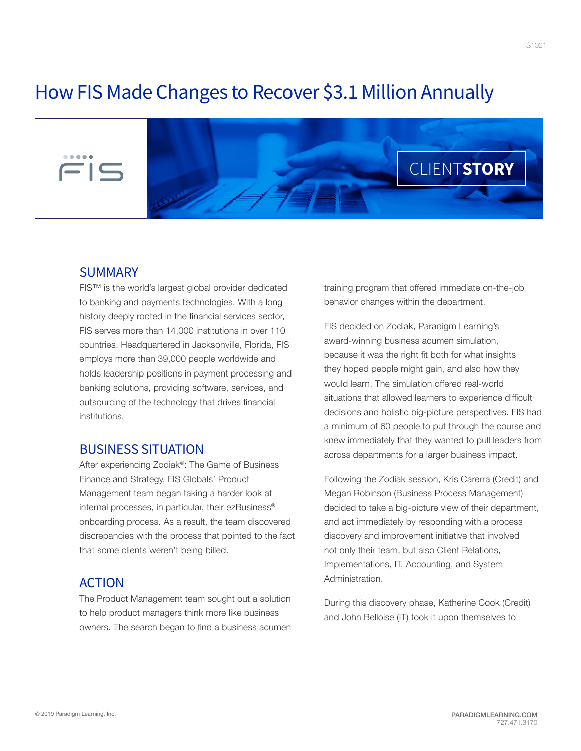# How FIS Made Changes to Recover \$3.1 Million Annually



#### SUMMARY

FIS™ is the world's largest global provider dedicated to banking and payments technologies. With a long history deeply rooted in the financial services sector, FIS serves more than 14,000 institutions in over 110 countries. Headquartered in Jacksonville, Florida, FIS employs more than 39,000 people worldwide and holds leadership positions in payment processing and banking solutions, providing software, services, and outsourcing of the technology that drives financial institutions.

## BUSINESS SITUATION

After experiencing Zodiak®: The Game of Business Finance and Strategy, FIS Globals' Product Management team began taking a harder look at internal processes, in particular, their ezBusiness® onboarding process. As a result, the team discovered discrepancies with the process that pointed to the fact that some clients weren't being billed.

## ACTION

The Product Management team sought out a solution to help product managers think more like business owners. The search began to find a business acumen

training program that offered immediate on-the-job behavior changes within the department.

FIS decided on Zodiak, Paradigm Learning's award-winning business acumen simulation, because it was the right fit both for what insights they hoped people might gain, and also how they would learn. The simulation offered real-world situations that allowed learners to experience difficult decisions and holistic big-picture perspectives. FIS had a minimum of 60 people to put through the course and knew immediately that they wanted to pull leaders from across departments for a larger business impact.

Following the Zodiak session, Kris Carerra (Credit) and Megan Robinson (Business Process Management) decided to take a big-picture view of their department, and act immediately by responding with a process discovery and improvement initiative that involved not only their team, but also Client Relations, Implementations, IT, Accounting, and System Administration.

During this discovery phase, Katherine Cook (Credit) and John Belloise (IT) took it upon themselves to